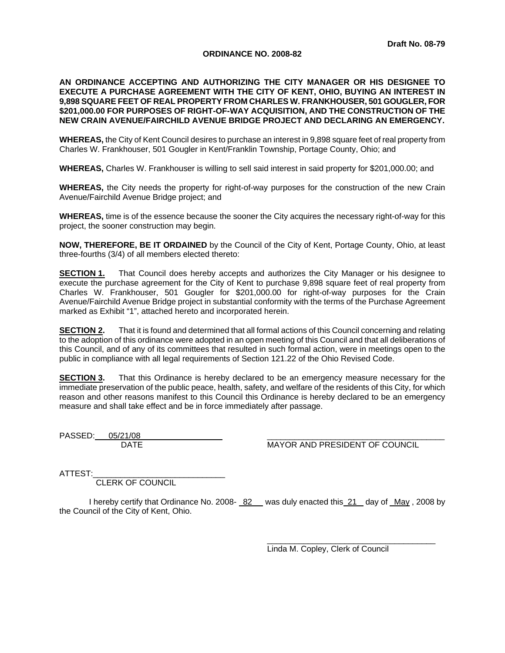# **ORDINANCE NO. 2008-82**

# **AN ORDINANCE ACCEPTING AND AUTHORIZING THE CITY MANAGER OR HIS DESIGNEE TO EXECUTE A PURCHASE AGREEMENT WITH THE CITY OF KENT, OHIO, BUYING AN INTEREST IN 9,898 SQUARE FEET OF REAL PROPERTY FROM CHARLES W. FRANKHOUSER, 501 GOUGLER, FOR \$201,000.00 FOR PURPOSES OF RIGHT-OF-WAY ACQUISITION, AND THE CONSTRUCTION OF THE NEW CRAIN AVENUE/FAIRCHILD AVENUE BRIDGE PROJECT AND DECLARING AN EMERGENCY.**

**WHEREAS,** the City of Kent Council desires to purchase an interest in 9,898 square feet of real property from Charles W. Frankhouser, 501 Gougler in Kent/Franklin Township, Portage County, Ohio; and

**WHEREAS,** Charles W. Frankhouser is willing to sell said interest in said property for \$201,000.00; and

**WHEREAS,** the City needs the property for right-of-way purposes for the construction of the new Crain Avenue/Fairchild Avenue Bridge project; and

**WHEREAS,** time is of the essence because the sooner the City acquires the necessary right-of-way for this project, the sooner construction may begin.

**NOW, THEREFORE, BE IT ORDAINED** by the Council of the City of Kent, Portage County, Ohio, at least three-fourths (3/4) of all members elected thereto:

**SECTION 1.** That Council does hereby accepts and authorizes the City Manager or his designee to execute the purchase agreement for the City of Kent to purchase 9,898 square feet of real property from Charles W. Frankhouser, 501 Gougler for \$201,000.00 for right-of-way purposes for the Crain Avenue/Fairchild Avenue Bridge project in substantial conformity with the terms of the Purchase Agreement marked as Exhibit "1", attached hereto and incorporated herein.

**SECTION 2.** That it is found and determined that all formal actions of this Council concerning and relating to the adoption of this ordinance were adopted in an open meeting of this Council and that all deliberations of this Council, and of any of its committees that resulted in such formal action, were in meetings open to the public in compliance with all legal requirements of Section 121.22 of the Ohio Revised Code.

**SECTION 3.** That this Ordinance is hereby declared to be an emergency measure necessary for the immediate preservation of the public peace, health, safety, and welfare of the residents of this City, for which reason and other reasons manifest to this Council this Ordinance is hereby declared to be an emergency measure and shall take effect and be in force immediately after passage.

PASSED: 05/21/08

DATE MAYOR AND PRESIDENT OF COUNCIL

ATTEST:

CLERK OF COUNCIL

I hereby certify that Ordinance No. 2008- 82 was duly enacted this 21 day of May , 2008 by the Council of the City of Kent, Ohio.

> $\overline{\phantom{a}}$  ,  $\overline{\phantom{a}}$  ,  $\overline{\phantom{a}}$  ,  $\overline{\phantom{a}}$  ,  $\overline{\phantom{a}}$  ,  $\overline{\phantom{a}}$  ,  $\overline{\phantom{a}}$  ,  $\overline{\phantom{a}}$  ,  $\overline{\phantom{a}}$  ,  $\overline{\phantom{a}}$  ,  $\overline{\phantom{a}}$  ,  $\overline{\phantom{a}}$  ,  $\overline{\phantom{a}}$  ,  $\overline{\phantom{a}}$  ,  $\overline{\phantom{a}}$  ,  $\overline{\phantom{a}}$ Linda M. Copley, Clerk of Council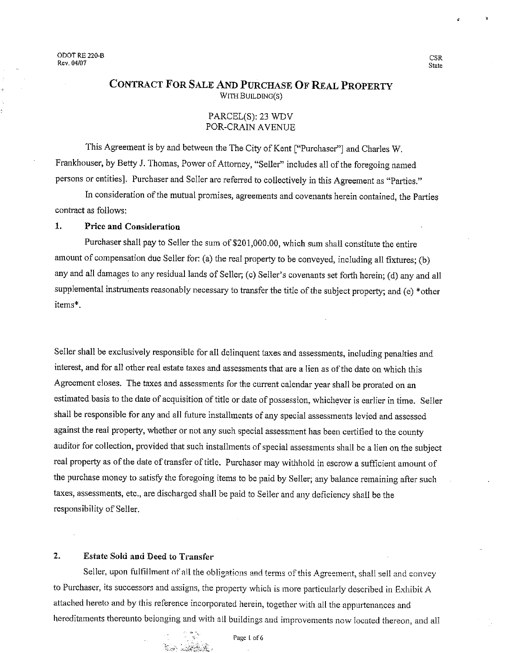# CONTRACT FOR SALE AND PURCHASE OF REAL PROPERTY WITH BUILDING(S)

# PARCEL(S): 23 WDV POR-CRAIN AVENUE

This Agreement is by and between the The City of Kent ["Purchaser"] and Charles W. Frankhouser, by Betty J. Thomas, Power of Attorney, "Seller" includes all of the foregoing named persons or entities]. Purchaser and Seller are referred to collectively in this Agreement as "Parties."

In consideration of the mutual promises, agreements and covenants herein contained, the Parties contract as follows:

## $\mathbf{1}$ . **Price and Consideration**

Purchaser shall pay to Seller the sum of \$201,000.00, which sum shall constitute the entire amount of compensation due Seller for: (a) the real property to be conveyed, including all fixtures; (b) any and all damages to any residual lands of Seller; (c) Seller's covenants set forth herein; (d) any and all supplemental instruments reasonably necessary to transfer the title of the subject property; and (e) \*other items\*.

Seller shall be exclusively responsible for all delinquent taxes and assessments, including penalties and interest, and for all other real estate taxes and assessments that are a lien as of the date on which this Agreement closes. The taxes and assessments for the current calendar year shall be prorated on an estimated basis to the date of acquisition of title or date of possession, whichever is earlier in time. Seller shall be responsible for any and all future installments of any special assessments levied and assessed against the real property, whether or not any such special assessment has been certified to the county auditor for collection, provided that such installments of special assessments shall be a lien on the subject real property as of the date of transfer of title. Purchaser may withhold in escrow a sufficient amount of the purchase money to satisfy the foregoing items to be paid by Seller; any balance remaining after such taxes, assessments, etc., are discharged shall be paid to Seller and any deficiency shall be the responsibility of Seller.

## $2.$ **Estate Sold and Deed to Transfer**

Seller, upon fulfillment of all the obligations and terms of this Agreement, shall sell and convey to Purchaser, its successors and assigns, the property which is more particularly described in Exhibit A attached hereto and by this reference incorporated herein, together with all the appurtenances and hereditaments thereunto belonging and with all buildings and improvements now located thereon, and all

Page 1 of 6

**CSR State**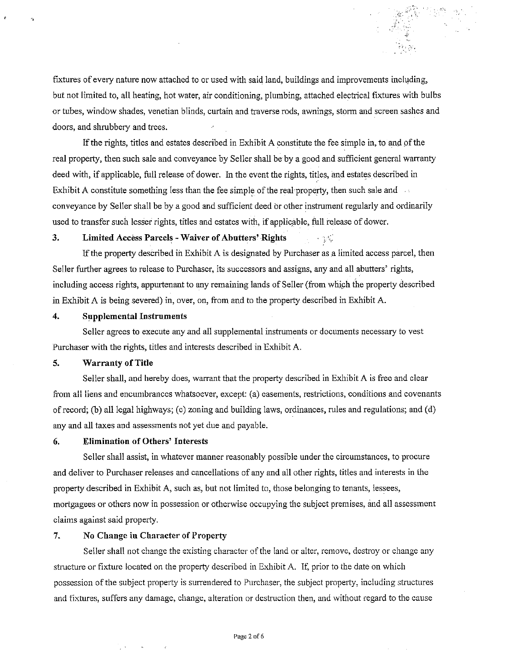fixtures of every nature now attached to or used with said land, buildings and improvements including, but not limited to, all heating, hot water, air conditioning, plumbing, attached electrical fixtures with bulbs or tubes, window shades, venetian blinds, curtain and traverse rods, awnings, storm and screen sashes and doors, and shrubbery and trees.

If the rights, titles and estates described in Exhibit A constitute the fee simple in, to and of the real property, then such sale and conveyance by Seller shall be by a good and sufficient general warranty deed with, if applicable, full release of dower. In the event the rights, titles, and estates described in Exhibit A constitute something less than the fee simple of the real property, then such sale and conveyance by Seller shall be by a good and sufficient deed or other instrument regularly and ordinarily used to transfer such lesser rights, titles and estates with, if applicable, full release of dower.

### $3.$ **Limited Access Parcels - Waiver of Abutters' Rights**

If the property described in Exhibit A is designated by Purchaser as a limited access parcel, then Seller further agrees to release to Purchaser, its successors and assigns, any and all abutters' rights, including access rights, appurtenant to any remaining lands of Seller (from which the property described in Exhibit A is being severed) in, over, on, from and to the property described in Exhibit A.

### $\overline{4}$ . **Supplemental Instruments**

Seller agrees to execute any and all supplemental instruments or documents necessary to vest Purchaser with the rights, titles and interests described in Exhibit A.

#### 5. **Warranty of Title**

Seller shall, and hereby does, warrant that the property described in Exhibit A is free and clear from all liens and encumbrances whatsoever, except: (a) easements, restrictions, conditions and covenants of record; (b) all legal highways; (c) zoning and building laws, ordinances, rules and regulations; and (d) any and all taxes and assessments not yet due and payable.

### **Elimination of Others' Interests** 6.

Seller shall assist, in whatever manner reasonably possible under the circumstances, to procure and deliver to Purchaser releases and cancellations of any and all other rights, titles and interests in the property described in Exhibit A, such as, but not limited to, those belonging to tenants, lessees, mortgagees or others now in possession or otherwise occupying the subject premises, and all assessment claims against said property.

#### $7.$ No Change in Character of Property

Seller shall not change the existing character of the land or alter, remove, destroy or change any structure or fixture located on the property described in Exhibit A. If, prior to the date on which possession of the subject property is surrendered to Purchaser, the subject property, including structures and fixtures, suffers any damage, change, alteration or destruction then, and without regard to the cause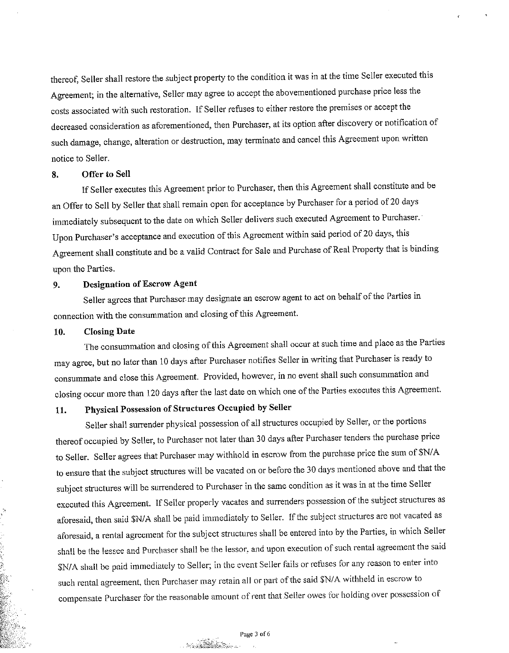thereof, Seller shall restore the subject property to the condition it was in at the time Seller executed this Agreement; in the alternative, Seller may agree to accept the abovementioned purchase price less the costs associated with such restoration. If Seller refuses to either restore the premises or accept the decreased consideration as aforementioned, then Purchaser, at its option after discovery or notification of such damage, change, alteration or destruction, may terminate and cancel this Agreement upon written notice to Seller.

#### 8. Offer to Sell

If Seller executes this Agreement prior to Purchaser, then this Agreement shall constitute and be an Offer to Sell by Seller that shall remain open for acceptance by Purchaser for a period of 20 days immediately subsequent to the date on which Seller delivers such executed Agreement to Purchaser. Upon Purchaser's acceptance and execution of this Agreement within said period of 20 days, this Agreement shall constitute and be a valid Contract for Sale and Purchase of Real Property that is binding upon the Parties.

#### **Designation of Escrow Agent** 9.

Seller agrees that Purchaser may designate an escrow agent to act on behalf of the Parties in connection with the consummation and closing of this Agreement.

#### 10. **Closing Date**

The consummation and closing of this Agreement shall occur at such time and place as the Parties may agree, but no later than 10 days after Purchaser notifies Seller in writing that Purchaser is ready to consummate and close this Agreement. Provided, however, in no event shall such consummation and closing occur more than 120 days after the last date on which one of the Parties executes this Agreement.

# Physical Possession of Structures Occupied by Seller 11.

Seller shall surrender physical possession of all structures occupied by Seller, or the portions thereof occupied by Seller, to Purchaser not later than 30 days after Purchaser tenders the purchase price to Seller. Seller agrees that Purchaser may withhold in escrow from the purchase price the sum of \$N/A to ensure that the subject structures will be vacated on or before the 30 days mentioned above and that the subject structures will be surrendered to Purchaser in the same condition as it was in at the time Seller executed this Agreement. If Seller properly vacates and surrenders possession of the subject structures as aforesaid, then said \$N/A shall be paid immediately to Seller. If the subject structures are not vacated as aforesaid, a rental agreement for the subject structures shall be entered into by the Parties, in which Seller shall be the lessee and Purchaser shall be the lessor, and upon execution of such rental agreement the said \$N/A shall be paid immediately to Seller; in the event Seller fails or refuses for any reason to enter into such rental agreement, then Purchaser may retain all or part of the said \$N/A withheld in escrow to compensate Purchaser for the reasonable amount of rent that Seller owes for holding over possession of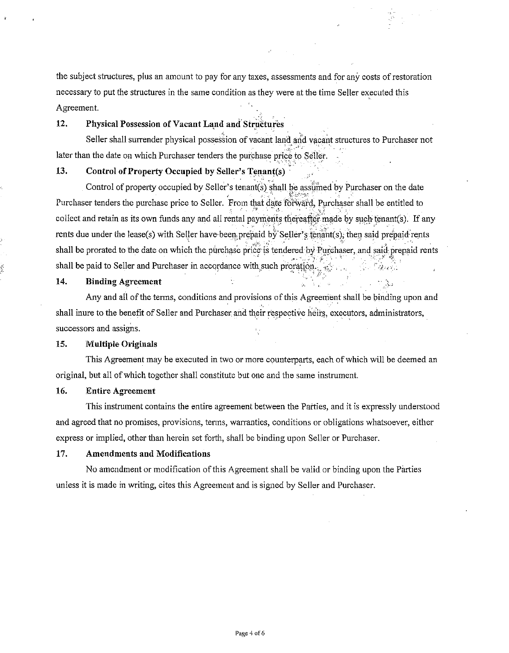the subject structures, plus an amount to pay for any taxes, assessments and for any costs of restoration necessary to put the structures in the same condition as they were at the time Seller executed this Agreement.

### $12.$ Physical Possession of Vacant Land and Structures

Seller shall surrender physical possession of vacant land and vacant structures to Purchaser not later than the date on which Purchaser tenders the purchase price to Seller.

## 13. Control of Property Occupied by Seller's Tenant(s)

Control of property occupied by Seller's tenant(s) shall be assumed by Purchaser on the date Purchaser tenders the purchase price to Seller. From that date forward, Purchaser shall be entitled to collect and retain as its own funds any and all rental payments thereafter made by such tenant(s). If any rents due under the lease(s) with Seller have been prepaid by Seller's tenant(s), then said prepaid rents shall be prorated to the date on which the purchase price is tendered by Purchaser, and said prepaid rents shall be paid to Seller and Purchaser in accordance with such proration.

### 14. **Binding Agreement**

į

Any and all of the terms, conditions and provisions of this Agreement shall be binding upon and shall inure to the benefit of Seller and Purchaser and their respective heirs, executors, administrators, successors and assigns.

### 15. **Multiple Originals**

This Agreement may be executed in two or more counterparts, each of which will be deemed an original, but all of which together shall constitute but one and the same instrument.

### 16. **Entire Agreement**

This instrument contains the entire agreement between the Parties, and it is expressly understood and agreed that no promises, provisions, terms, warranties, conditions or obligations whatsoever, either express or implied, other than herein set forth, shall be binding upon Seller or Purchaser.

### 17. **Amendments and Modifications**

No amendment or modification of this Agreement shall be valid or binding upon the Parties unless it is made in writing, cites this Agreement and is signed by Seller and Purchaser.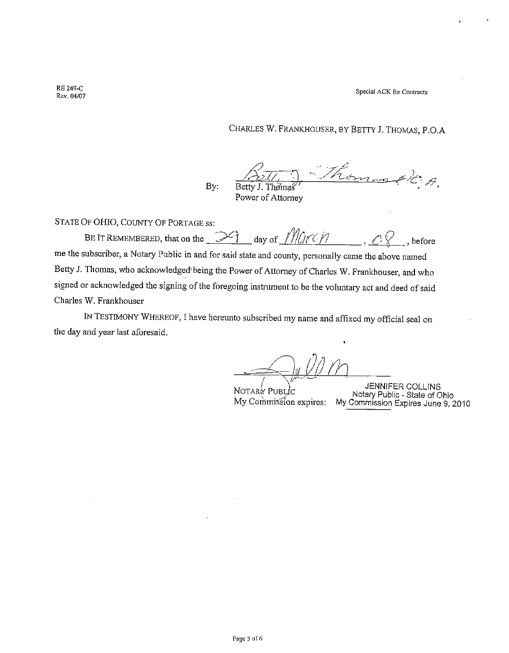Special ACK for Contracts

**RE 249-C** Rev. 04/07

CHARLES W. FRANKHOUSER, BY BETTY J. THOMAS, P.O.A

 $\mathscr{P}$ By: Betty J. Thomas

Power of Attorney

STATE OF OHIO, COUNTY OF PORTAGE ss:

day of  $\frac{1}{2}$  ///*//rc//* BE IT REMEMBERED, that on the  $\mathbb{R}^2$ before me the subscriber, a Notary Public in and for said state and county, personally came the above named Betty J. Thomas, who acknowledged being the Power of Attorney of Charles W. Frankhouser, and who signed or acknowledged the signing of the foregoing instrument to be the voluntary act and deed of said Charles W. Frankhouser

IN TESTIMONY WHEREOF, I have hereunto subscribed my name and affixed my official seal on the day and year last aforesaid.

NOTARY PUBLIC

JENNIFER COLLINS Notary Public - State of Ohio My Commission expires: My Commission Expires June 9, 2010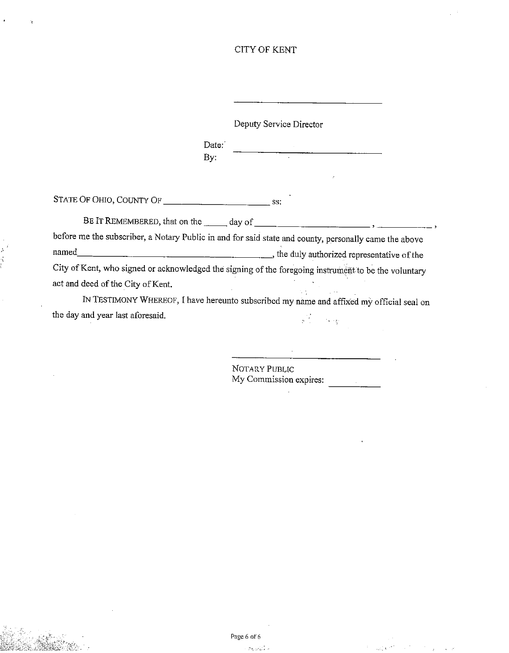# **CITY OF KENT**

Deputy Service Director Date: By: before me the subscriber, a Notary Public in and for said state and county, personally came the above City of Kent, who signed or acknowledged the signing of the foregoing instrument to be the voluntary act and deed of the City of Kent. IN TESTIMONY WHEREOF, I have hereunto subscribed my name and affixed my official seal on the day and year last aforesaid.  $\frac{1}{2}$  .  $\mathbb{F}_p$  ,  $\mathbb{F}_p$ 

> NOTARY PUBLIC My Commission expires: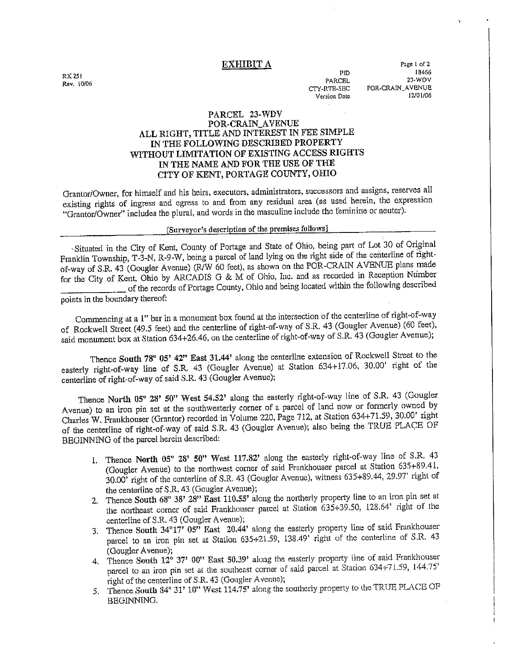# EXHIBIT A

RX 251 Rev. 10/06

**PID PARCEL** CTY-RTE-SEC Version Date

Page 1 of 2 18466  $22 WDY$ POR-CRAIN AVENUE 12/01/06

# PARCEL 23-WDV

# POR CRAIN AVENUE ALL RIGHT, TITLE AND INTEREST IN FEE SIMPLE IN THE FOLLOWING DESCRIBED PROPERTY WITHOUT LIMITATION OF EXISTING ACCESS RIGHTS IN THE NAME AND FOR THE USE OF THE CITY OF KENT, PORTAGE COUNTY, OHIO

Grantor/Owner, for himself and his heirs, executors, administrators, successors and assigns, reserves all existing rights of ingress and egress to and from any residual area (as used herein, the expression "Grantor/Owner" includes the plural, and words in the masculine include the feminine or neuter).

# [Surveyor's description of the premises follows]

-Situated in the City of Kent, County of Portage and State of Ohio, being part of Lot 30 of Original Franklin Township, T-3-N, R-9-W, being a parcel of land lying on the right side of the centerline of rightof-way of S.R. 43 (Gougler Avenue) (R/W 60 feet), as shown on the POR-CRAIN AVENUE plans made for the City of Kent, Ohio by ARCADIS G & M of Ohio, Inc. and as recorded in Reception Number of the records of Portage County, Ohio and being located within the following described points in the boundary thereof:

Commencing at a 1" bar in a monument box found at the intersection of the centerline of right-of-way of Rockwell Street (49.5 feet) and the centerline of right-of-way of S.R. 43 (Gougler Avenue) (60 feet), said monument box at Station 634+26.46, on the centerline of right-of-way of S.R. 43 (Gougler Avenue);

Thence South 78° 05' 42" East 31.44' along the centerline extension of Rockwell Street to the easterly right-of-way line of S.R. 43 (Gougler Avenue) at Station 634+17.06, 30.00' right of the centerline of right-of-way of said S.R. 43 (Gougler Avenue);

Thence North 05° 28' 50" West 54.52' along the easterly right-of-way line of S.R. 43 (Gougler Avenue) to an iron pin set at the southwesterly corner of a parcel of land now or formerly owned by Charles W. Frankhouser (Grantor) recorded in Volume 220, Page 712, at Station 634+71.59, 30.00' right of the centerline of right-of-way of said S.R. 43 (Gougler Avenue); also being the TRUE PLACE OF BEGINNING of the parcel herein described:

- 1. Thence North 05° 28' 50" West 117.82' along the easterly right-of-way line of S.R. 43 (Gougler Avenue) to the northwest corner of said Frankhouser parcel at Station 635+89.41, 30.00 right of the centerline of S.R. 43 (Gougler Avenue), witness 635+89.44, 29.97' right of the centerline of S.R. 43 (Gougler Avenue);
- 2. Thence South 68° 38' 28" East 110.55' along the northerly property line to an iron pin set at the northeast corner of said Frankhouser parcel at Station 635+39.50, 128.64' right of the centerline of S.R. 43 (Gougler Avenue);
- 3. Thence South 34°17' 05' East 20.44' along the easterly property line of said Frankhouser parcel to an iron pin set at Station 635+21.59, 138.49' right of the centerline of S.R. 43 (Gougler Avenue);
- 4. Thence South 12° 37' 00" East 50.39' along the easterly property line of said Frankhouser parcel to an iron pin set at the southeast corner of said parcel at Station 634+71.59, 144.75' right of the centerline of S.R. 43 (Gougler Avenue);
- 5. Thence South 84° 31' 10" West 114.75' along the southerly property to the TRUE PLACE OF BEGINNING.